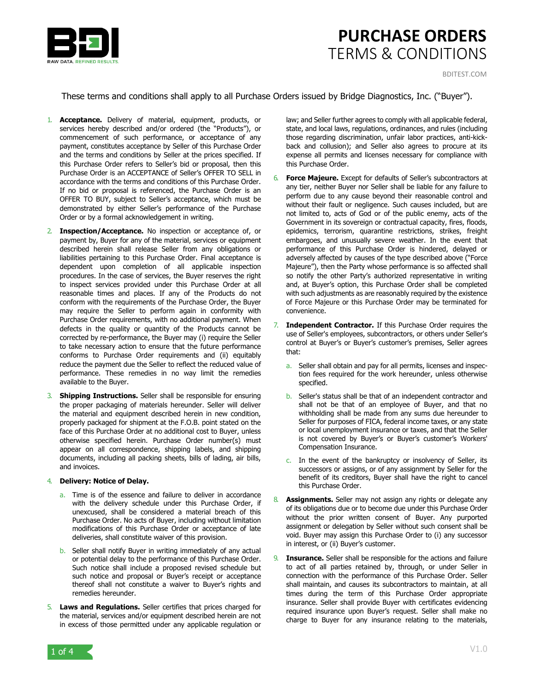

These terms and conditions shall apply to all Purchase Orders issued by Bridge Diagnostics, Inc. ("Buyer").

- 1. **Acceptance.** Delivery of material, equipment, products, or services hereby described and/or ordered (the "Products"), or commencement of such performance, or acceptance of any payment, constitutes acceptance by Seller of this Purchase Order and the terms and conditions by Seller at the prices specified. If this Purchase Order refers to Seller's bid or proposal, then this Purchase Order is an ACCEPTANCE of Seller's OFFER TO SELL in accordance with the terms and conditions of this Purchase Order. If no bid or proposal is referenced, the Purchase Order is an OFFER TO BUY, subject to Seller's acceptance, which must be demonstrated by either Seller's performance of the Purchase Order or by a formal acknowledgement in writing.
- 2. **Inspection/Acceptance.** No inspection or acceptance of, or payment by, Buyer for any of the material, services or equipment described herein shall release Seller from any obligations or liabilities pertaining to this Purchase Order. Final acceptance is dependent upon completion of all applicable inspection procedures. In the case of services, the Buyer reserves the right to inspect services provided under this Purchase Order at all reasonable times and places. If any of the Products do not conform with the requirements of the Purchase Order, the Buyer may require the Seller to perform again in conformity with Purchase Order requirements, with no additional payment. When defects in the quality or quantity of the Products cannot be corrected by re-performance, the Buyer may (i) require the Seller to take necessary action to ensure that the future performance conforms to Purchase Order requirements and (ii) equitably reduce the payment due the Seller to reflect the reduced value of performance. These remedies in no way limit the remedies available to the Buyer.
- 3. **Shipping Instructions.** Seller shall be responsible for ensuring the proper packaging of materials hereunder. Seller will deliver the material and equipment described herein in new condition, properly packaged for shipment at the F.O.B. point stated on the face of this Purchase Order at no additional cost to Buyer, unless otherwise specified herein. Purchase Order number(s) must appear on all correspondence, shipping labels, and shipping documents, including all packing sheets, bills of lading, air bills, and invoices.

### 4. **Delivery: Notice of Delay.**

- a. Time is of the essence and failure to deliver in accordance with the delivery schedule under this Purchase Order, if unexcused, shall be considered a material breach of this Purchase Order. No acts of Buyer, including without limitation modifications of this Purchase Order or acceptance of late deliveries, shall constitute waiver of this provision.
- b. Seller shall notify Buyer in writing immediately of any actual or potential delay to the performance of this Purchase Order. Such notice shall include a proposed revised schedule but such notice and proposal or Buyer's receipt or acceptance thereof shall not constitute a waiver to Buyer's rights and remedies hereunder.
- 5. **Laws and Regulations.** Seller certifies that prices charged for the material, services and/or equipment described herein are not in excess of those permitted under any applicable regulation or

law; and Seller further agrees to comply with all applicable federal, state, and local laws, regulations, ordinances, and rules (including those regarding discrimination, unfair labor practices, anti-kickback and collusion); and Seller also agrees to procure at its expense all permits and licenses necessary for compliance with this Purchase Order.

- 6. **Force Majeure.** Except for defaults of Seller's subcontractors at any tier, neither Buyer nor Seller shall be liable for any failure to perform due to any cause beyond their reasonable control and without their fault or negligence. Such causes included, but are not limited to, acts of God or of the public enemy, acts of the Government in its sovereign or contractual capacity, fires, floods, epidemics, terrorism, quarantine restrictions, strikes, freight embargoes, and unusually severe weather. In the event that performance of this Purchase Order is hindered, delayed or adversely affected by causes of the type described above ("Force Majeure"), then the Party whose performance is so affected shall so notify the other Party's authorized representative in writing and, at Buyer's option, this Purchase Order shall be completed with such adjustments as are reasonably required by the existence of Force Majeure or this Purchase Order may be terminated for convenience.
- **Independent Contractor.** If this Purchase Order requires the use of Seller's employees, subcontractors, or others under Seller's control at Buyer's or Buyer's customer's premises, Seller agrees that:
	- a. Seller shall obtain and pay for all permits, licenses and inspection fees required for the work hereunder, unless otherwise specified.
	- b. Seller's status shall be that of an independent contractor and shall not be that of an employee of Buyer, and that no withholding shall be made from any sums due hereunder to Seller for purposes of FICA, federal income taxes, or any state or local unemployment insurance or taxes, and that the Seller is not covered by Buyer's or Buyer's customer's Workers' Compensation Insurance.
	- c. In the event of the bankruptcy or insolvency of Seller, its successors or assigns, or of any assignment by Seller for the benefit of its creditors, Buyer shall have the right to cancel this Purchase Order.
- 8. **Assignments.** Seller may not assign any rights or delegate any of its obligations due or to become due under this Purchase Order without the prior written consent of Buyer. Any purported assignment or delegation by Seller without such consent shall be void. Buyer may assign this Purchase Order to (i) any successor in interest, or (ii) Buyer's customer.
- 9. **Insurance.** Seller shall be responsible for the actions and failure to act of all parties retained by, through, or under Seller in connection with the performance of this Purchase Order. Seller shall maintain, and causes its subcontractors to maintain, at all times during the term of this Purchase Order appropriate insurance. Seller shall provide Buyer with certificates evidencing required insurance upon Buyer's request. Seller shall make no charge to Buyer for any insurance relating to the materials,

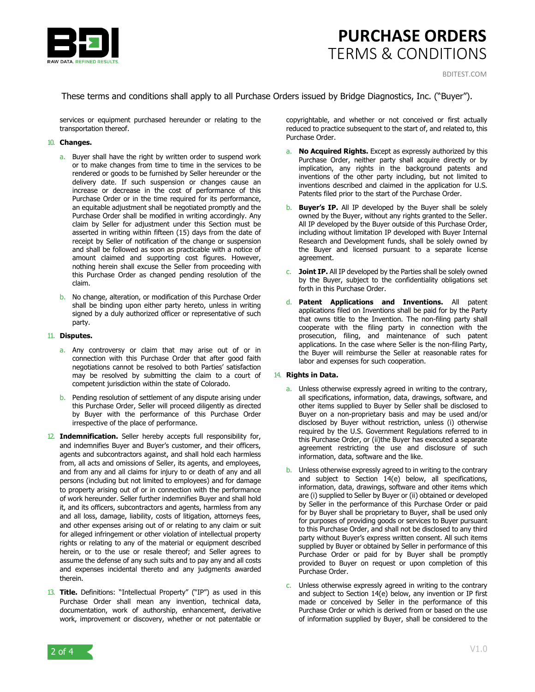

These terms and conditions shall apply to all Purchase Orders issued by Bridge Diagnostics, Inc. ("Buyer").

services or equipment purchased hereunder or relating to the transportation thereof.

### 10. **Changes.**

- a. Buyer shall have the right by written order to suspend work or to make changes from time to time in the services to be rendered or goods to be furnished by Seller hereunder or the delivery date. If such suspension or changes cause an increase or decrease in the cost of performance of this Purchase Order or in the time required for its performance, an equitable adjustment shall be negotiated promptly and the Purchase Order shall be modified in writing accordingly. Any claim by Seller for adjustment under this Section must be asserted in writing within fifteen (15) days from the date of receipt by Seller of notification of the change or suspension and shall be followed as soon as practicable with a notice of amount claimed and supporting cost figures. However, nothing herein shall excuse the Seller from proceeding with this Purchase Order as changed pending resolution of the claim.
- b. No change, alteration, or modification of this Purchase Order shall be binding upon either party hereto, unless in writing signed by a duly authorized officer or representative of such party.

#### 11. **Disputes.**

- a. Any controversy or claim that may arise out of or in connection with this Purchase Order that after good faith negotiations cannot be resolved to both Parties' satisfaction may be resolved by submitting the claim to a court of competent jurisdiction within the state of Colorado.
- b. Pending resolution of settlement of any dispute arising under this Purchase Order, Seller will proceed diligently as directed by Buyer with the performance of this Purchase Order irrespective of the place of performance.
- 12. **Indemnification.** Seller hereby accepts full responsibility for, and indemnifies Buyer and Buyer's customer, and their officers, agents and subcontractors against, and shall hold each harmless from, all acts and omissions of Seller, its agents, and employees, and from any and all claims for injury to or death of any and all persons (including but not limited to employees) and for damage to property arising out of or in connection with the performance of work hereunder. Seller further indemnifies Buyer and shall hold it, and its officers, subcontractors and agents, harmless from any and all loss, damage, liability, costs of litigation, attorneys fees, and other expenses arising out of or relating to any claim or suit for alleged infringement or other violation of intellectual property rights or relating to any of the material or equipment described herein, or to the use or resale thereof; and Seller agrees to assume the defense of any such suits and to pay any and all costs and expenses incidental thereto and any judgments awarded therein.
- 13. **Title.** Definitions: "Intellectual Property" ("IP") as used in this Purchase Order shall mean any invention, technical data, documentation, work of authorship, enhancement, derivative work, improvement or discovery, whether or not patentable or

copyrightable, and whether or not conceived or first actually reduced to practice subsequent to the start of, and related to, this Purchase Order.

- a. **No Acquired Rights.** Except as expressly authorized by this Purchase Order, neither party shall acquire directly or by implication, any rights in the background patents and inventions of the other party including, but not limited to inventions described and claimed in the application for U.S. Patents filed prior to the start of the Purchase Order.
- b. **Buyer's IP.** All IP developed by the Buyer shall be solely owned by the Buyer, without any rights granted to the Seller. All IP developed by the Buyer outside of this Purchase Order, including without limitation IP developed with Buyer Internal Research and Development funds, shall be solely owned by the Buyer and licensed pursuant to a separate license agreement.
- c. **Joint IP.** All IP developed by the Parties shall be solely owned by the Buyer, subject to the confidentiality obligations set forth in this Purchase Order.
- d. **Patent Applications and Inventions.** All patent applications filed on Inventions shall be paid for by the Party that owns title to the Invention. The non-filing party shall cooperate with the filing party in connection with the prosecution, filing, and maintenance of such patent applications. In the case where Seller is the non-filing Party, the Buyer will reimburse the Seller at reasonable rates for labor and expenses for such cooperation.

#### 14. **Rights in Data.**

- a. Unless otherwise expressly agreed in writing to the contrary, all specifications, information, data, drawings, software, and other items supplied to Buyer by Seller shall be disclosed to Buyer on a non-proprietary basis and may be used and/or disclosed by Buyer without restriction, unless (i) otherwise required by the U.S. Government Regulations referred to in this Purchase Order, or (ii)the Buyer has executed a separate agreement restricting the use and disclosure of such information, data, software and the like.
- b. Unless otherwise expressly agreed to in writing to the contrary and subject to Section 14(e) below, all specifications, information, data, drawings, software and other items which are (i) supplied to Seller by Buyer or (ii) obtained or developed by Seller in the performance of this Purchase Order or paid for by Buyer shall be proprietary to Buyer, shall be used only for purposes of providing goods or services to Buyer pursuant to this Purchase Order, and shall not be disclosed to any third party without Buyer's express written consent. All such items supplied by Buyer or obtained by Seller in performance of this Purchase Order or paid for by Buyer shall be promptly provided to Buyer on request or upon completion of this Purchase Order.
- c. Unless otherwise expressly agreed in writing to the contrary and subject to Section 14(e) below, any invention or IP first made or conceived by Seller in the performance of this Purchase Order or which is derived from or based on the use of information supplied by Buyer, shall be considered to the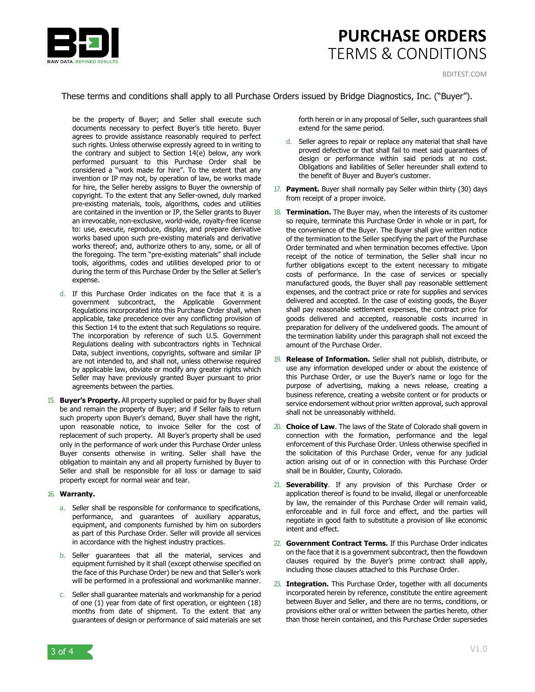

These terms and conditions shall apply to all Purchase Orders issued by Bridge Diagnostics, Inc. ("Buyer").

be the property of Buyer; and Seller shall execute such documents necessary to perfect Buyer's title hereto. Buyer agrees to provide assistance reasonably required to perfect such rights. Unless otherwise expressly agreed to in writing to the contrary and subject to Section 14(e) below, any work performed pursuant to this Purchase Order shall be considered a "work made for hire". To the extent that any invention or IP may not, by operation of law, be works made for hire, the Seller hereby assigns to Buyer the ownership of copyright. To the extent that any Seller-owned, duly marked pre-existing materials, tools, algorithms, codes and utilities are contained in the invention or IP, the Seller grants to Buyer an irrevocable, non-exclusive, world-wide, royalty-free license to: use, execute, reproduce, display, and prepare derivative works based upon such pre-existing materials and derivative works thereof; and, authorize others to any, some, or all of the foregoing. The term "pre-existing materials" shall include tools, algorithms, codes and utilities developed prior to or during the term of this Purchase Order by the Seller at Seller's expense.

- d. If this Purchase Order indicates on the face that it is a government subcontract, the Applicable Government Regulations incorporated into this Purchase Order shall, when applicable, take precedence over any conflicting provision of this Section 14 to the extent that such Regulations so require. The incorporation by reference of such U.S. Government Regulations dealing with subcontractors rights in Technical Data, subject inventions, copyrights, software and similar IP are not intended to, and shall not, unless otherwise required by applicable law, obviate or modify any greater rights which Seller may have previously granted Buyer pursuant to prior agreements between the parties.
- 15. **Buyer's Property.** All property supplied or paid for by Buyer shall be and remain the property of Buyer; and if Seller fails to return such property upon Buyer's demand, Buyer shall have the right, upon reasonable notice, to invoice Seller for the cost of replacement of such property. All Buyer's property shall be used only in the performance of work under this Purchase Order unless Buyer consents otherwise in writing. Seller shall have the obligation to maintain any and all property furnished by Buyer to Seller and shall be responsible for all loss or damage to said property except for normal wear and tear.

## 16. **Warranty.**

- a. Seller shall be responsible for conformance to specifications, performance, and guarantees of auxiliary apparatus, equipment, and components furnished by him on suborders as part of this Purchase Order. Seller will provide all services in accordance with the highest industry practices.
- b. Seller guarantees that all the material, services and equipment furnished by it shall (except otherwise specified on the face of this Purchase Order) be new and that Seller's work will be performed in a professional and workmanlike manner.
- c. Seller shall guarantee materials and workmanship for a period of one (1) year from date of first operation, or eighteen (18) months from date of shipment. To the extent that any guarantees of design or performance of said materials are set

forth herein or in any proposal of Seller, such guarantees shall extend for the same period.

- d. Seller agrees to repair or replace any material that shall have proved defective or that shall fail to meet said guarantees of design or performance within said periods at no cost. Obligations and liabilities of Seller hereunder shall extend to the benefit of Buyer and Buyer's customer.
- 17. **Payment.** Buyer shall normally pay Seller within thirty (30) days from receipt of a proper invoice.
- 18. **Termination.** The Buyer may, when the interests of its customer so require, terminate this Purchase Order in whole or in part, for the convenience of the Buyer. The Buyer shall give written notice of the termination to the Seller specifying the part of the Purchase Order terminated and when termination becomes effective. Upon receipt of the notice of termination, the Seller shall incur no further obligations except to the extent necessary to mitigate costs of performance. In the case of services or specially manufactured goods, the Buyer shall pay reasonable settlement expenses, and the contract price or rate for supplies and services delivered and accepted. In the case of existing goods, the Buyer shall pay reasonable settlement expenses, the contract price for goods delivered and accepted, reasonable costs incurred in preparation for delivery of the undelivered goods. The amount of the termination liability under this paragraph shall not exceed the amount of the Purchase Order.
- 19. **Release of Information.** Seller shall not publish, distribute, or use any information developed under or about the existence of this Purchase Order, or use the Buyer's name or logo for the purpose of advertising, making a news release, creating a business reference, creating a website content or for products or service endorsement without prior written approval, such approval shall not be unreasonably withheld.
- 20. **Choice of Law**. The laws of the State of Colorado shall govern in connection with the formation, performance and the legal enforcement of this Purchase Order. Unless otherwise specified in the solicitation of this Purchase Order, venue for any judicial action arising out of or in connection with this Purchase Order shall be in Boulder, County, Colorado.
- 21. **Severability**. If any provision of this Purchase Order or application thereof is found to be invalid, illegal or unenforceable by law, the remainder of this Purchase Order will remain valid, enforceable and in full force and effect, and the parties will negotiate in good faith to substitute a provision of like economic intent and effect.
- 22. **Government Contract Terms.** If this Purchase Order indicates on the face that it is a government subcontract, then the flowdown clauses required by the Buyer's prime contract shall apply, including those clauses attached to this Purchase Order.
- 23. **Integration.** This Purchase Order, together with all documents incorporated herein by reference, constitute the entire agreement between Buyer and Seller, and there are no terms, conditions, or provisions either oral or written between the parties hereto, other than those herein contained, and this Purchase Order supersedes